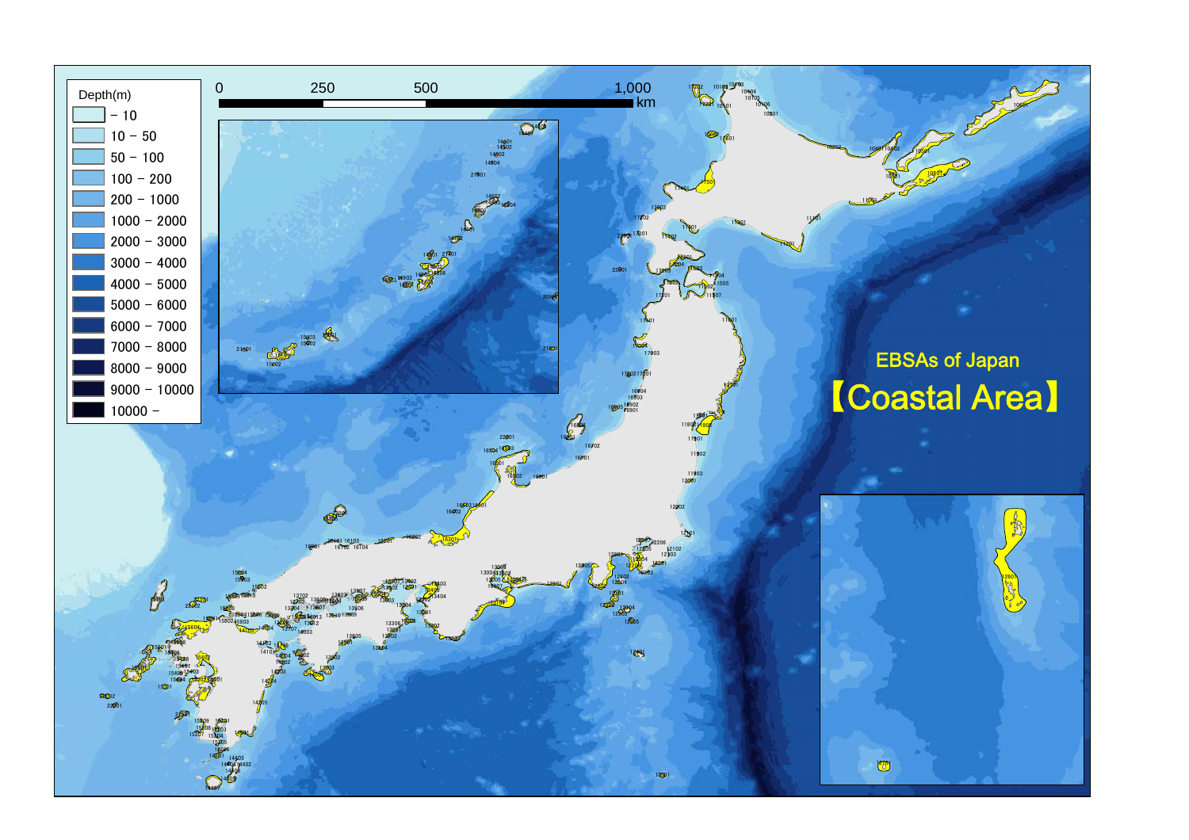